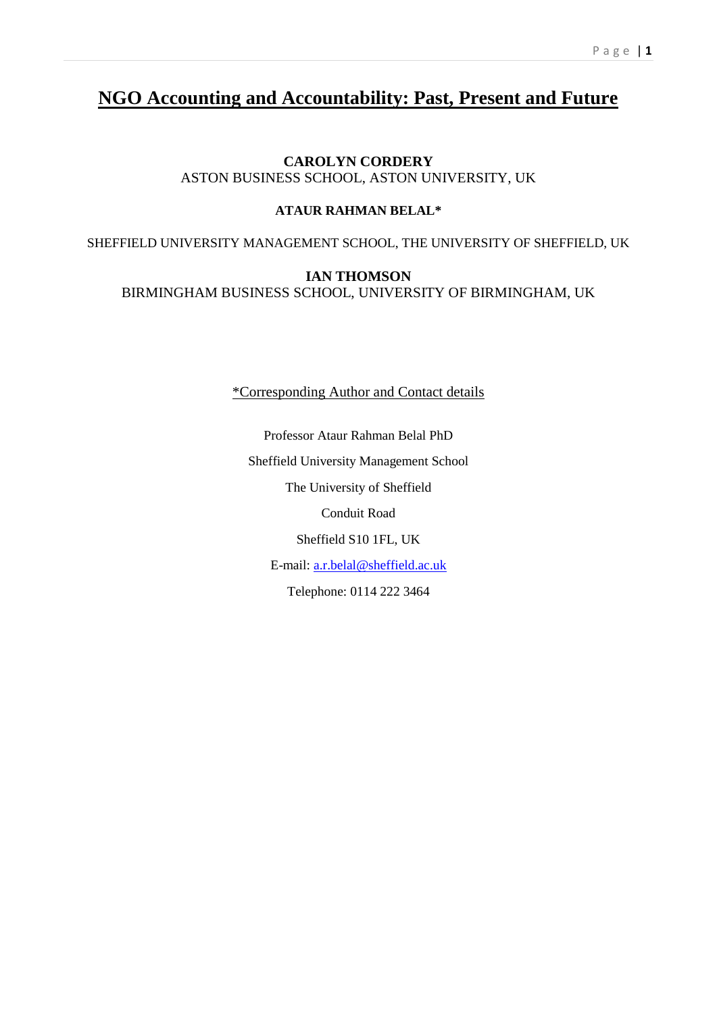# **NGO Accounting and Accountability: Past, Present and Future**

# **CAROLYN CORDERY** ASTON BUSINESS SCHOOL, ASTON UNIVERSITY, UK

# **ATAUR RAHMAN BELAL\***

SHEFFIELD UNIVERSITY MANAGEMENT SCHOOL, THE UNIVERSITY OF SHEFFIELD, UK

# **IAN THOMSON** BIRMINGHAM BUSINESS SCHOOL, UNIVERSITY OF BIRMINGHAM, UK

\*Corresponding Author and Contact details

Professor Ataur Rahman Belal PhD Sheffield University Management School The University of Sheffield Conduit Road Sheffield S10 1FL, UK E-mail: [a.r.belal@sheffield.ac.uk](mailto:a.r.belal@sheffield.ac.uk) Telephone: 0114 222 3464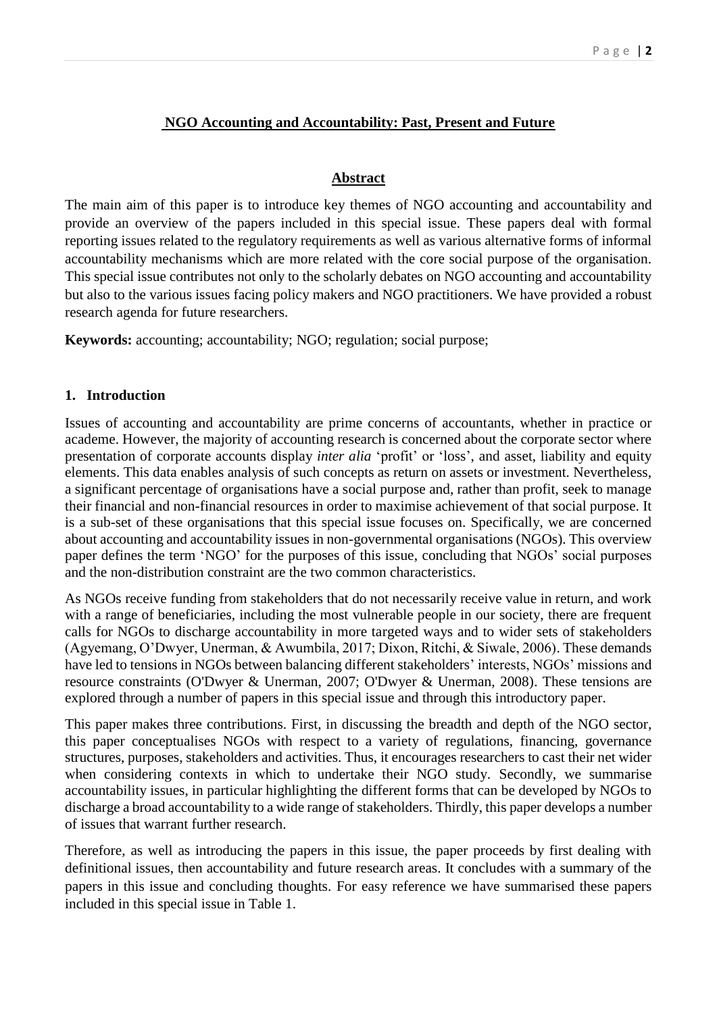# **NGO Accounting and Accountability: Past, Present and Future**

#### **Abstract**

The main aim of this paper is to introduce key themes of NGO accounting and accountability and provide an overview of the papers included in this special issue. These papers deal with formal reporting issues related to the regulatory requirements as well as various alternative forms of informal accountability mechanisms which are more related with the core social purpose of the organisation. This special issue contributes not only to the scholarly debates on NGO accounting and accountability but also to the various issues facing policy makers and NGO practitioners. We have provided a robust research agenda for future researchers.

**Keywords:** accounting; accountability; NGO; regulation; social purpose;

### **1. Introduction**

Issues of accounting and accountability are prime concerns of accountants, whether in practice or academe. However, the majority of accounting research is concerned about the corporate sector where presentation of corporate accounts display *inter alia* 'profit' or 'loss', and asset, liability and equity elements. This data enables analysis of such concepts as return on assets or investment. Nevertheless, a significant percentage of organisations have a social purpose and, rather than profit, seek to manage their financial and non-financial resources in order to maximise achievement of that social purpose. It is a sub-set of these organisations that this special issue focuses on. Specifically, we are concerned about accounting and accountability issues in non-governmental organisations (NGOs). This overview paper defines the term 'NGO' for the purposes of this issue, concluding that NGOs' social purposes and the non-distribution constraint are the two common characteristics.

As NGOs receive funding from stakeholders that do not necessarily receive value in return, and work with a range of beneficiaries, including the most vulnerable people in our society, there are frequent calls for NGOs to discharge accountability in more targeted ways and to wider sets of stakeholders (Agyemang, O'Dwyer, Unerman, & Awumbila, 2017; Dixon, Ritchi, & Siwale, 2006). These demands have led to tensions in NGOs between balancing different stakeholders' interests, NGOs' missions and resource constraints (O'Dwyer & Unerman, 2007; O'Dwyer & Unerman, 2008). These tensions are explored through a number of papers in this special issue and through this introductory paper.

This paper makes three contributions. First, in discussing the breadth and depth of the NGO sector, this paper conceptualises NGOs with respect to a variety of regulations, financing, governance structures, purposes, stakeholders and activities. Thus, it encourages researchers to cast their net wider when considering contexts in which to undertake their NGO study. Secondly, we summarise accountability issues, in particular highlighting the different forms that can be developed by NGOs to discharge a broad accountability to a wide range of stakeholders. Thirdly, this paper develops a number of issues that warrant further research.

Therefore, as well as introducing the papers in this issue, the paper proceeds by first dealing with definitional issues, then accountability and future research areas. It concludes with a summary of the papers in this issue and concluding thoughts. For easy reference we have summarised these papers included in this special issue in Table 1.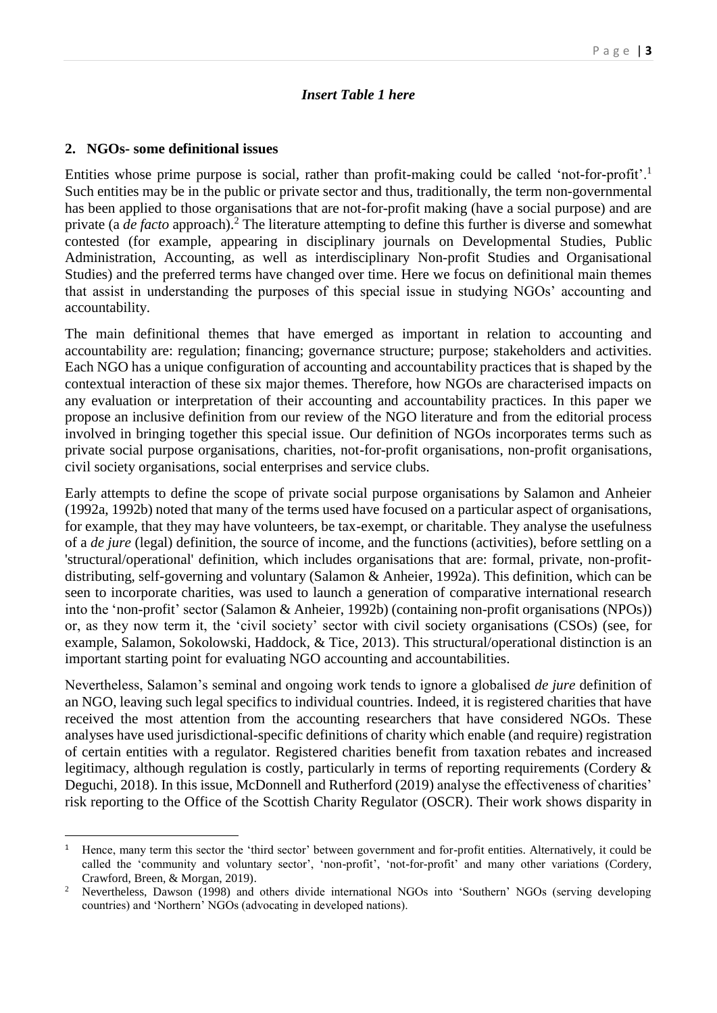## *Insert Table 1 here*

#### **2. NGOs- some definitional issues**

1

Entities whose prime purpose is social, rather than profit-making could be called 'not-for-profit'.<sup>1</sup> Such entities may be in the public or private sector and thus, traditionally, the term non-governmental has been applied to those organisations that are not-for-profit making (have a social purpose) and are private (a *de facto* approach).<sup>2</sup> The literature attempting to define this further is diverse and somewhat contested (for example, appearing in disciplinary journals on Developmental Studies, Public Administration, Accounting, as well as interdisciplinary Non-profit Studies and Organisational Studies) and the preferred terms have changed over time. Here we focus on definitional main themes that assist in understanding the purposes of this special issue in studying NGOs' accounting and accountability.

The main definitional themes that have emerged as important in relation to accounting and accountability are: regulation; financing; governance structure; purpose; stakeholders and activities. Each NGO has a unique configuration of accounting and accountability practices that is shaped by the contextual interaction of these six major themes. Therefore, how NGOs are characterised impacts on any evaluation or interpretation of their accounting and accountability practices. In this paper we propose an inclusive definition from our review of the NGO literature and from the editorial process involved in bringing together this special issue. Our definition of NGOs incorporates terms such as private social purpose organisations, charities, not-for-profit organisations, non-profit organisations, civil society organisations, social enterprises and service clubs.

Early attempts to define the scope of private social purpose organisations by Salamon and Anheier (1992a, 1992b) noted that many of the terms used have focused on a particular aspect of organisations, for example, that they may have volunteers, be tax-exempt, or charitable. They analyse the usefulness of a *de jure* (legal) definition, the source of income, and the functions (activities), before settling on a 'structural/operational' definition, which includes organisations that are: formal, private, non-profitdistributing, self-governing and voluntary (Salamon & Anheier, 1992a). This definition, which can be seen to incorporate charities, was used to launch a generation of comparative international research into the 'non-profit' sector (Salamon & Anheier, 1992b) (containing non-profit organisations (NPOs)) or, as they now term it, the 'civil society' sector with civil society organisations (CSOs) (see, for example, Salamon, Sokolowski, Haddock, & Tice, 2013). This structural/operational distinction is an important starting point for evaluating NGO accounting and accountabilities.

Nevertheless, Salamon's seminal and ongoing work tends to ignore a globalised *de jure* definition of an NGO, leaving such legal specifics to individual countries. Indeed, it is registered charities that have received the most attention from the accounting researchers that have considered NGOs. These analyses have used jurisdictional-specific definitions of charity which enable (and require) registration of certain entities with a regulator. Registered charities benefit from taxation rebates and increased legitimacy, although regulation is costly, particularly in terms of reporting requirements (Cordery & Deguchi, 2018). In this issue, McDonnell and Rutherford (2019) analyse the effectiveness of charities' risk reporting to the Office of the Scottish Charity Regulator (OSCR). Their work shows disparity in

<sup>1</sup> Hence, many term this sector the 'third sector' between government and for-profit entities. Alternatively, it could be called the 'community and voluntary sector', 'non-profit', 'not-for-profit' and many other variations (Cordery, Crawford, Breen, & Morgan, 2019).

<sup>2</sup> Nevertheless, Dawson (1998) and others divide international NGOs into 'Southern' NGOs (serving developing countries) and 'Northern' NGOs (advocating in developed nations).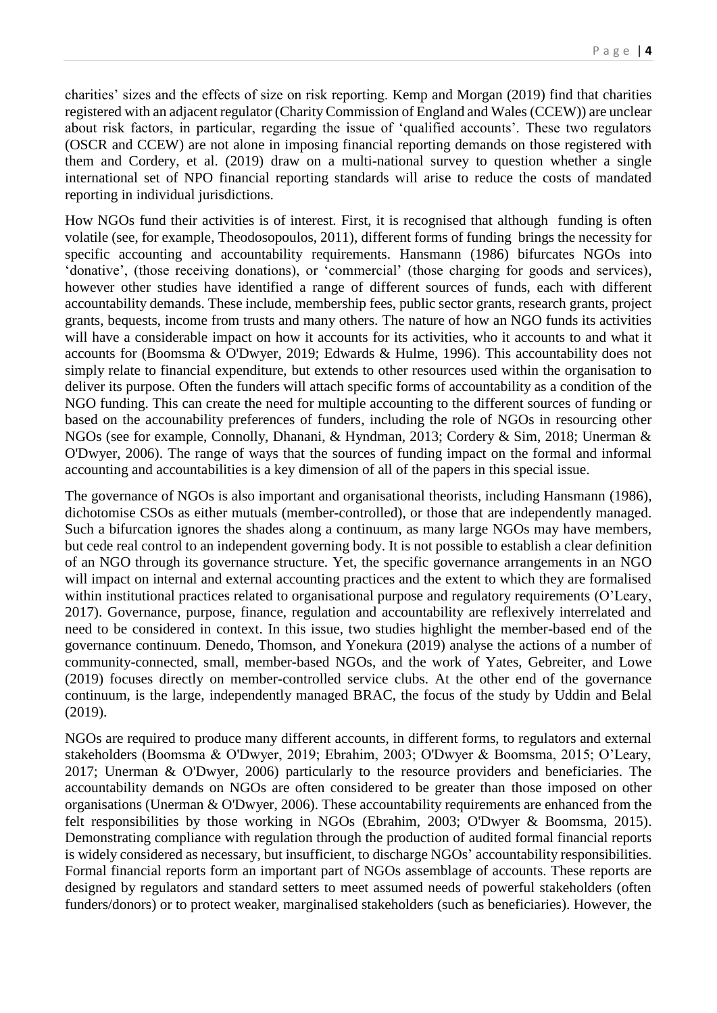charities' sizes and the effects of size on risk reporting. Kemp and Morgan (2019) find that charities registered with an adjacent regulator (Charity Commission of England and Wales (CCEW)) are unclear about risk factors, in particular, regarding the issue of 'qualified accounts'. These two regulators (OSCR and CCEW) are not alone in imposing financial reporting demands on those registered with them and Cordery, et al. (2019) draw on a multi-national survey to question whether a single international set of NPO financial reporting standards will arise to reduce the costs of mandated reporting in individual jurisdictions.

How NGOs fund their activities is of interest. First, it is recognised that although funding is often volatile (see, for example, Theodosopoulos, 2011), different forms of funding brings the necessity for specific accounting and accountability requirements. Hansmann (1986) bifurcates NGOs into 'donative', (those receiving donations), or 'commercial' (those charging for goods and services), however other studies have identified a range of different sources of funds, each with different accountability demands. These include, membership fees, public sector grants, research grants, project grants, bequests, income from trusts and many others. The nature of how an NGO funds its activities will have a considerable impact on how it accounts for its activities, who it accounts to and what it accounts for (Boomsma & O'Dwyer, 2019; Edwards & Hulme, 1996). This accountability does not simply relate to financial expenditure, but extends to other resources used within the organisation to deliver its purpose. Often the funders will attach specific forms of accountability as a condition of the NGO funding. This can create the need for multiple accounting to the different sources of funding or based on the accounability preferences of funders, including the role of NGOs in resourcing other NGOs (see for example, Connolly, Dhanani, & Hyndman, 2013; Cordery & Sim, 2018; Unerman & O'Dwyer, 2006). The range of ways that the sources of funding impact on the formal and informal accounting and accountabilities is a key dimension of all of the papers in this special issue.

The governance of NGOs is also important and organisational theorists, including Hansmann (1986), dichotomise CSOs as either mutuals (member-controlled), or those that are independently managed. Such a bifurcation ignores the shades along a continuum, as many large NGOs may have members, but cede real control to an independent governing body. It is not possible to establish a clear definition of an NGO through its governance structure. Yet, the specific governance arrangements in an NGO will impact on internal and external accounting practices and the extent to which they are formalised within institutional practices related to organisational purpose and regulatory requirements (O'Leary, 2017). Governance, purpose, finance, regulation and accountability are reflexively interrelated and need to be considered in context. In this issue, two studies highlight the member-based end of the governance continuum. Denedo, Thomson, and Yonekura (2019) analyse the actions of a number of community-connected, small, member-based NGOs, and the work of Yates, Gebreiter, and Lowe (2019) focuses directly on member-controlled service clubs. At the other end of the governance continuum, is the large, independently managed BRAC, the focus of the study by Uddin and Belal (2019).

NGOs are required to produce many different accounts, in different forms, to regulators and external stakeholders (Boomsma & O'Dwyer, 2019; Ebrahim, 2003; O'Dwyer & Boomsma, 2015; O'Leary, 2017; Unerman & O'Dwyer, 2006) particularly to the resource providers and beneficiaries. The accountability demands on NGOs are often considered to be greater than those imposed on other organisations (Unerman & O'Dwyer, 2006). These accountability requirements are enhanced from the felt responsibilities by those working in NGOs (Ebrahim, 2003; O'Dwyer & Boomsma, 2015). Demonstrating compliance with regulation through the production of audited formal financial reports is widely considered as necessary, but insufficient, to discharge NGOs' accountability responsibilities. Formal financial reports form an important part of NGOs assemblage of accounts. These reports are designed by regulators and standard setters to meet assumed needs of powerful stakeholders (often funders/donors) or to protect weaker, marginalised stakeholders (such as beneficiaries). However, the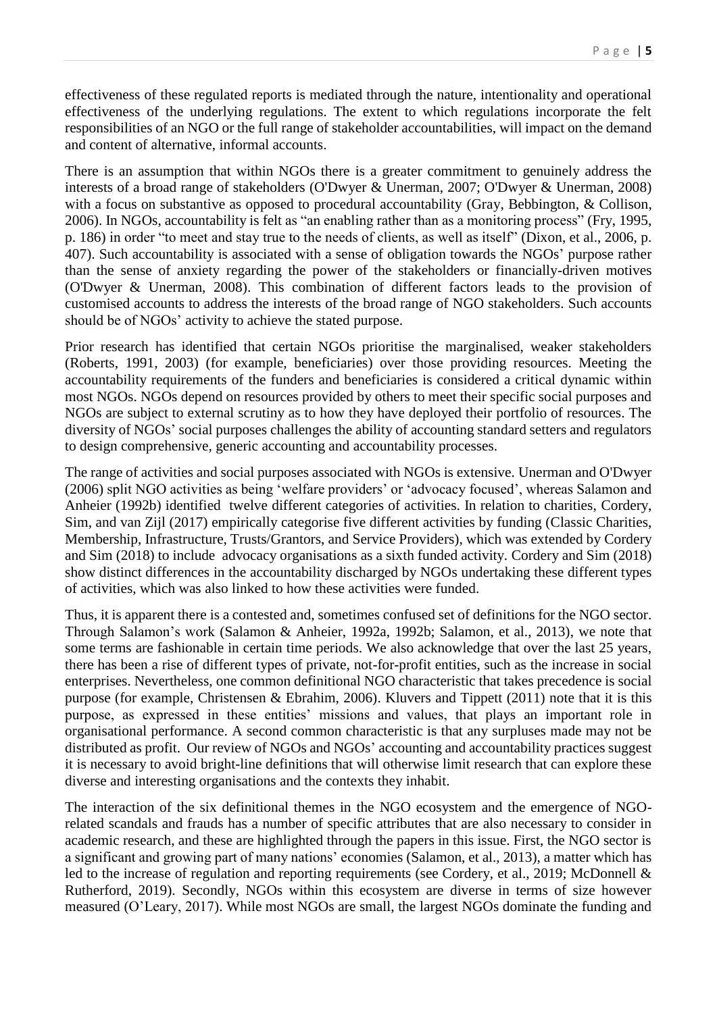effectiveness of these regulated reports is mediated through the nature, intentionality and operational effectiveness of the underlying regulations. The extent to which regulations incorporate the felt responsibilities of an NGO or the full range of stakeholder accountabilities, will impact on the demand and content of alternative, informal accounts.

There is an assumption that within NGOs there is a greater commitment to genuinely address the interests of a broad range of stakeholders (O'Dwyer & Unerman, 2007; O'Dwyer & Unerman, 2008) with a focus on substantive as opposed to procedural accountability (Gray, Bebbington, & Collison, 2006). In NGOs, accountability is felt as "an enabling rather than as a monitoring process" (Fry, 1995, p. 186) in order "to meet and stay true to the needs of clients, as well as itself" (Dixon, et al., 2006, p. 407). Such accountability is associated with a sense of obligation towards the NGOs' purpose rather than the sense of anxiety regarding the power of the stakeholders or financially-driven motives (O'Dwyer & Unerman, 2008). This combination of different factors leads to the provision of customised accounts to address the interests of the broad range of NGO stakeholders. Such accounts should be of NGOs' activity to achieve the stated purpose.

Prior research has identified that certain NGOs prioritise the marginalised, weaker stakeholders (Roberts, 1991, 2003) (for example, beneficiaries) over those providing resources. Meeting the accountability requirements of the funders and beneficiaries is considered a critical dynamic within most NGOs. NGOs depend on resources provided by others to meet their specific social purposes and NGOs are subject to external scrutiny as to how they have deployed their portfolio of resources. The diversity of NGOs' social purposes challenges the ability of accounting standard setters and regulators to design comprehensive, generic accounting and accountability processes.

The range of activities and social purposes associated with NGOs is extensive. Unerman and O'Dwyer (2006) split NGO activities as being 'welfare providers' or 'advocacy focused', whereas Salamon and Anheier (1992b) identified twelve different categories of activities. In relation to charities, Cordery, Sim, and van Zijl (2017) empirically categorise five different activities by funding (Classic Charities, Membership, Infrastructure, Trusts/Grantors, and Service Providers), which was extended by Cordery and Sim (2018) to include advocacy organisations as a sixth funded activity. Cordery and Sim (2018) show distinct differences in the accountability discharged by NGOs undertaking these different types of activities, which was also linked to how these activities were funded.

Thus, it is apparent there is a contested and, sometimes confused set of definitions for the NGO sector. Through Salamon's work (Salamon & Anheier, 1992a, 1992b; Salamon, et al., 2013), we note that some terms are fashionable in certain time periods. We also acknowledge that over the last 25 years, there has been a rise of different types of private, not-for-profit entities, such as the increase in social enterprises. Nevertheless, one common definitional NGO characteristic that takes precedence is social purpose (for example, Christensen & Ebrahim, 2006). Kluvers and Tippett (2011) note that it is this purpose, as expressed in these entities' missions and values, that plays an important role in organisational performance. A second common characteristic is that any surpluses made may not be distributed as profit. Our review of NGOs and NGOs' accounting and accountability practices suggest it is necessary to avoid bright-line definitions that will otherwise limit research that can explore these diverse and interesting organisations and the contexts they inhabit.

The interaction of the six definitional themes in the NGO ecosystem and the emergence of NGOrelated scandals and frauds has a number of specific attributes that are also necessary to consider in academic research, and these are highlighted through the papers in this issue. First, the NGO sector is a significant and growing part of many nations' economies (Salamon, et al., 2013), a matter which has led to the increase of regulation and reporting requirements (see Cordery, et al., 2019; McDonnell & Rutherford, 2019). Secondly, NGOs within this ecosystem are diverse in terms of size however measured (O'Leary, 2017). While most NGOs are small, the largest NGOs dominate the funding and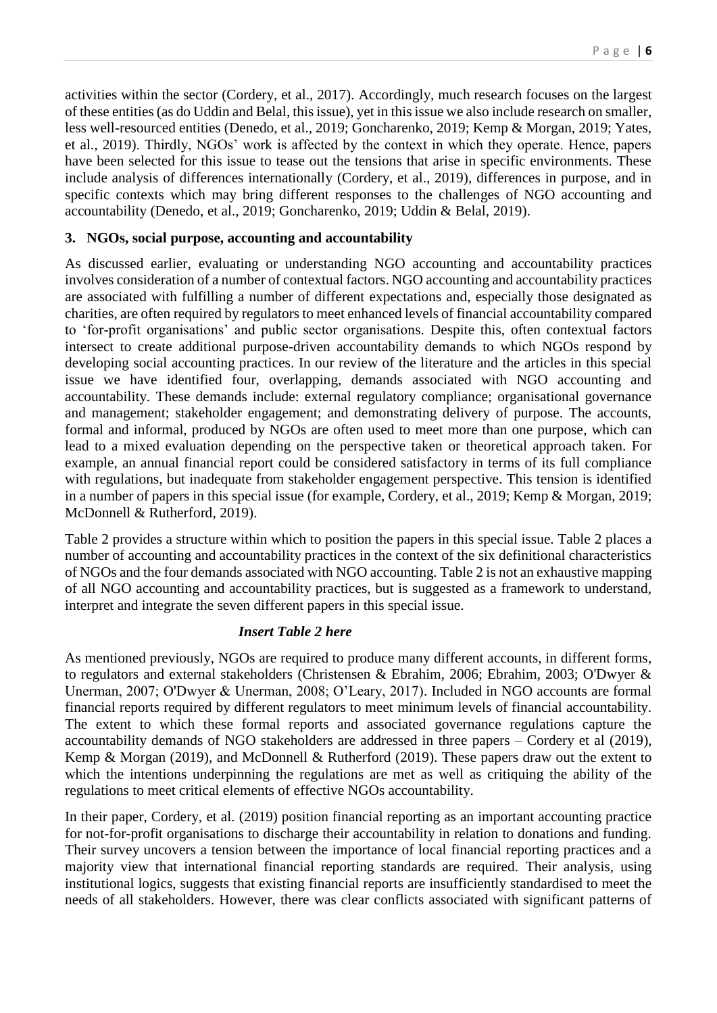activities within the sector (Cordery, et al., 2017). Accordingly, much research focuses on the largest of these entities (as do Uddin and Belal, this issue), yet in this issue we also include research on smaller, less well-resourced entities (Denedo, et al., 2019; Goncharenko, 2019; Kemp & Morgan, 2019; Yates, et al., 2019). Thirdly, NGOs' work is affected by the context in which they operate. Hence, papers have been selected for this issue to tease out the tensions that arise in specific environments. These include analysis of differences internationally (Cordery, et al., 2019), differences in purpose, and in specific contexts which may bring different responses to the challenges of NGO accounting and accountability (Denedo, et al., 2019; Goncharenko, 2019; Uddin & Belal, 2019).

#### **3. NGOs, social purpose, accounting and accountability**

As discussed earlier, evaluating or understanding NGO accounting and accountability practices involves consideration of a number of contextual factors. NGO accounting and accountability practices are associated with fulfilling a number of different expectations and, especially those designated as charities, are often required by regulators to meet enhanced levels of financial accountability compared to 'for-profit organisations' and public sector organisations. Despite this, often contextual factors intersect to create additional purpose-driven accountability demands to which NGOs respond by developing social accounting practices. In our review of the literature and the articles in this special issue we have identified four, overlapping, demands associated with NGO accounting and accountability. These demands include: external regulatory compliance; organisational governance and management; stakeholder engagement; and demonstrating delivery of purpose. The accounts, formal and informal, produced by NGOs are often used to meet more than one purpose, which can lead to a mixed evaluation depending on the perspective taken or theoretical approach taken. For example, an annual financial report could be considered satisfactory in terms of its full compliance with regulations, but inadequate from stakeholder engagement perspective. This tension is identified in a number of papers in this special issue (for example, Cordery, et al., 2019; Kemp & Morgan, 2019; McDonnell & Rutherford, 2019).

Table 2 provides a structure within which to position the papers in this special issue. Table 2 places a number of accounting and accountability practices in the context of the six definitional characteristics of NGOs and the four demands associated with NGO accounting. Table 2 is not an exhaustive mapping of all NGO accounting and accountability practices, but is suggested as a framework to understand, interpret and integrate the seven different papers in this special issue.

#### *Insert Table 2 here*

As mentioned previously, NGOs are required to produce many different accounts, in different forms, to regulators and external stakeholders (Christensen & Ebrahim, 2006; Ebrahim, 2003; O'Dwyer & Unerman, 2007; O'Dwyer & Unerman, 2008; O'Leary, 2017). Included in NGO accounts are formal financial reports required by different regulators to meet minimum levels of financial accountability. The extent to which these formal reports and associated governance regulations capture the accountability demands of NGO stakeholders are addressed in three papers – Cordery et al (2019), Kemp & Morgan (2019), and McDonnell & Rutherford (2019). These papers draw out the extent to which the intentions underpinning the regulations are met as well as critiquing the ability of the regulations to meet critical elements of effective NGOs accountability.

In their paper, Cordery, et al. (2019) position financial reporting as an important accounting practice for not-for-profit organisations to discharge their accountability in relation to donations and funding. Their survey uncovers a tension between the importance of local financial reporting practices and a majority view that international financial reporting standards are required. Their analysis, using institutional logics, suggests that existing financial reports are insufficiently standardised to meet the needs of all stakeholders. However, there was clear conflicts associated with significant patterns of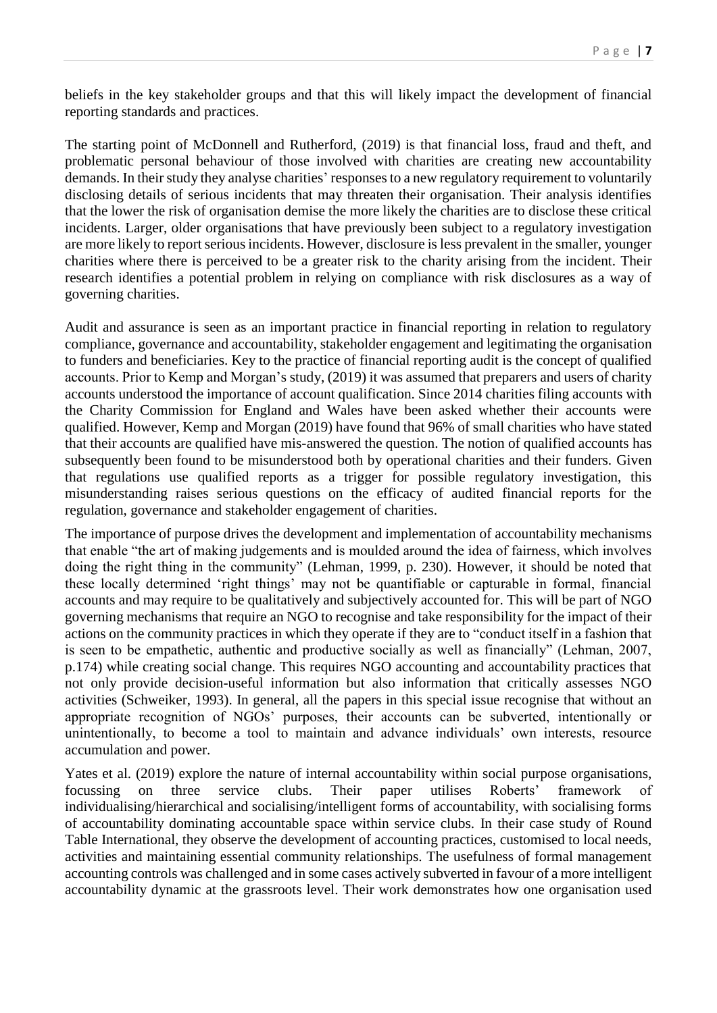beliefs in the key stakeholder groups and that this will likely impact the development of financial reporting standards and practices.

The starting point of McDonnell and Rutherford, (2019) is that financial loss, fraud and theft, and problematic personal behaviour of those involved with charities are creating new accountability demands. In their study they analyse charities' responsesto a new regulatory requirement to voluntarily disclosing details of serious incidents that may threaten their organisation. Their analysis identifies that the lower the risk of organisation demise the more likely the charities are to disclose these critical incidents. Larger, older organisations that have previously been subject to a regulatory investigation are more likely to report serious incidents. However, disclosure is less prevalent in the smaller, younger charities where there is perceived to be a greater risk to the charity arising from the incident. Their research identifies a potential problem in relying on compliance with risk disclosures as a way of governing charities.

Audit and assurance is seen as an important practice in financial reporting in relation to regulatory compliance, governance and accountability, stakeholder engagement and legitimating the organisation to funders and beneficiaries. Key to the practice of financial reporting audit is the concept of qualified accounts. Prior to Kemp and Morgan's study, (2019) it was assumed that preparers and users of charity accounts understood the importance of account qualification. Since 2014 charities filing accounts with the Charity Commission for England and Wales have been asked whether their accounts were qualified. However, Kemp and Morgan (2019) have found that 96% of small charities who have stated that their accounts are qualified have mis-answered the question. The notion of qualified accounts has subsequently been found to be misunderstood both by operational charities and their funders. Given that regulations use qualified reports as a trigger for possible regulatory investigation, this misunderstanding raises serious questions on the efficacy of audited financial reports for the regulation, governance and stakeholder engagement of charities.

The importance of purpose drives the development and implementation of accountability mechanisms that enable "the art of making judgements and is moulded around the idea of fairness, which involves doing the right thing in the community" (Lehman, 1999, p. 230). However, it should be noted that these locally determined 'right things' may not be quantifiable or capturable in formal, financial accounts and may require to be qualitatively and subjectively accounted for. This will be part of NGO governing mechanisms that require an NGO to recognise and take responsibility for the impact of their actions on the community practices in which they operate if they are to "conduct itself in a fashion that is seen to be empathetic, authentic and productive socially as well as financially" (Lehman, 2007, p.174) while creating social change. This requires NGO accounting and accountability practices that not only provide decision-useful information but also information that critically assesses NGO activities (Schweiker, 1993). In general, all the papers in this special issue recognise that without an appropriate recognition of NGOs' purposes, their accounts can be subverted, intentionally or unintentionally, to become a tool to maintain and advance individuals' own interests, resource accumulation and power.

Yates et al. (2019) explore the nature of internal accountability within social purpose organisations, focussing on three service clubs. Their paper utilises Roberts' framework of individualising/hierarchical and socialising/intelligent forms of accountability, with socialising forms of accountability dominating accountable space within service clubs. In their case study of Round Table International, they observe the development of accounting practices, customised to local needs, activities and maintaining essential community relationships. The usefulness of formal management accounting controls was challenged and in some cases actively subverted in favour of a more intelligent accountability dynamic at the grassroots level. Their work demonstrates how one organisation used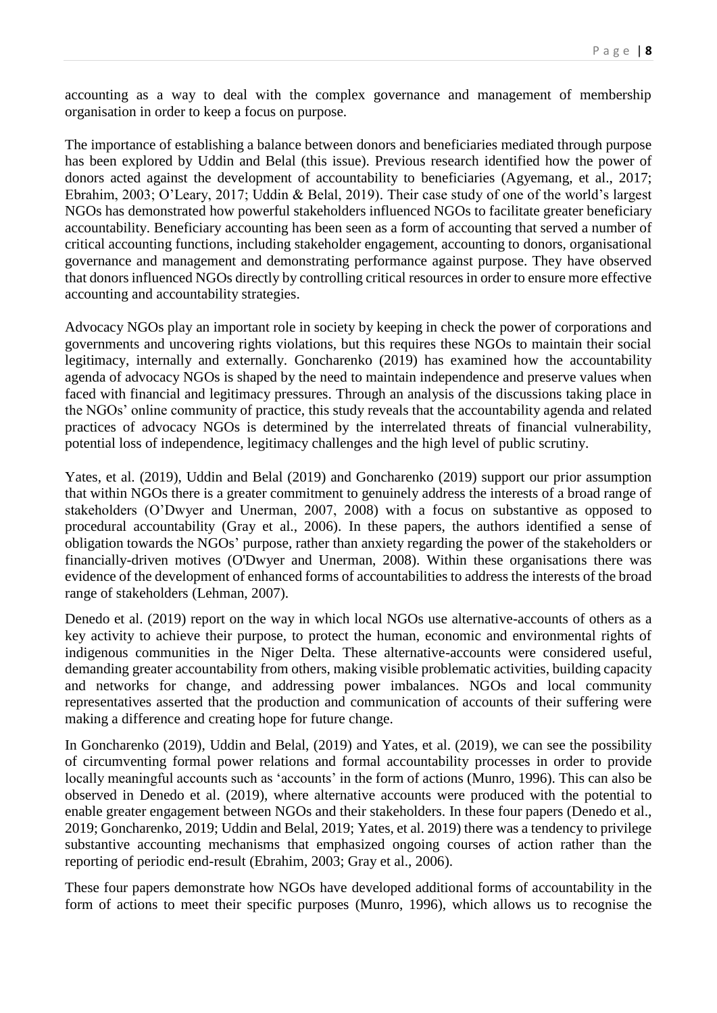accounting as a way to deal with the complex governance and management of membership organisation in order to keep a focus on purpose.

The importance of establishing a balance between donors and beneficiaries mediated through purpose has been explored by Uddin and Belal (this issue). Previous research identified how the power of donors acted against the development of accountability to beneficiaries (Agyemang, et al., 2017; Ebrahim, 2003; O'Leary, 2017; Uddin & Belal, 2019). Their case study of one of the world's largest NGOs has demonstrated how powerful stakeholders influenced NGOs to facilitate greater beneficiary accountability. Beneficiary accounting has been seen as a form of accounting that served a number of critical accounting functions, including stakeholder engagement, accounting to donors, organisational governance and management and demonstrating performance against purpose. They have observed that donors influenced NGOs directly by controlling critical resources in order to ensure more effective accounting and accountability strategies.

Advocacy NGOs play an important role in society by keeping in check the power of corporations and governments and uncovering rights violations, but this requires these NGOs to maintain their social legitimacy, internally and externally. Goncharenko (2019) has examined how the accountability agenda of advocacy NGOs is shaped by the need to maintain independence and preserve values when faced with financial and legitimacy pressures. Through an analysis of the discussions taking place in the NGOs' online community of practice, this study reveals that the accountability agenda and related practices of advocacy NGOs is determined by the interrelated threats of financial vulnerability, potential loss of independence, legitimacy challenges and the high level of public scrutiny.

Yates, et al. (2019), Uddin and Belal (2019) and Goncharenko (2019) support our prior assumption that within NGOs there is a greater commitment to genuinely address the interests of a broad range of stakeholders (O'Dwyer and Unerman, 2007, 2008) with a focus on substantive as opposed to procedural accountability (Gray et al., 2006). In these papers, the authors identified a sense of obligation towards the NGOs' purpose, rather than anxiety regarding the power of the stakeholders or financially-driven motives (O'Dwyer and Unerman, 2008). Within these organisations there was evidence of the development of enhanced forms of accountabilities to address the interests of the broad range of stakeholders (Lehman, 2007).

Denedo et al. (2019) report on the way in which local NGOs use alternative-accounts of others as a key activity to achieve their purpose, to protect the human, economic and environmental rights of indigenous communities in the Niger Delta. These alternative-accounts were considered useful, demanding greater accountability from others, making visible problematic activities, building capacity and networks for change, and addressing power imbalances. NGOs and local community representatives asserted that the production and communication of accounts of their suffering were making a difference and creating hope for future change.

In Goncharenko (2019), Uddin and Belal, (2019) and Yates, et al. (2019), we can see the possibility of circumventing formal power relations and formal accountability processes in order to provide locally meaningful accounts such as 'accounts' in the form of actions (Munro, 1996). This can also be observed in Denedo et al. (2019), where alternative accounts were produced with the potential to enable greater engagement between NGOs and their stakeholders. In these four papers (Denedo et al., 2019; Goncharenko, 2019; Uddin and Belal, 2019; Yates, et al. 2019) there was a tendency to privilege substantive accounting mechanisms that emphasized ongoing courses of action rather than the reporting of periodic end-result (Ebrahim, 2003; Gray et al., 2006).

These four papers demonstrate how NGOs have developed additional forms of accountability in the form of actions to meet their specific purposes (Munro, 1996), which allows us to recognise the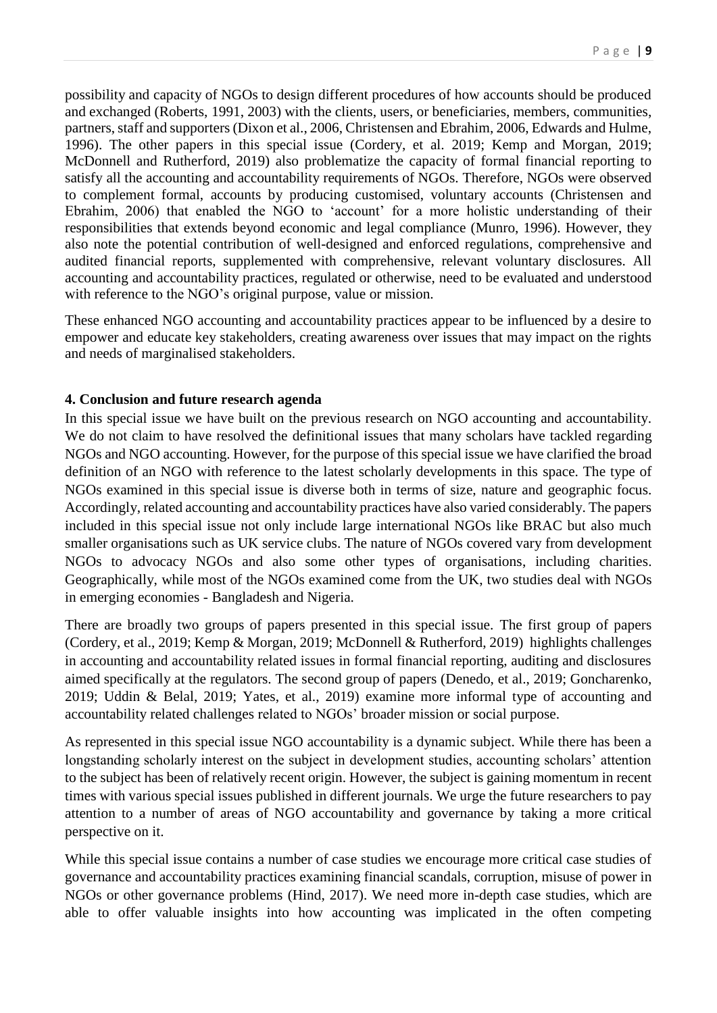possibility and capacity of NGOs to design different procedures of how accounts should be produced and exchanged (Roberts, 1991, 2003) with the clients, users, or beneficiaries, members, communities, partners, staff and supporters (Dixon et al., 2006, Christensen and Ebrahim, 2006, Edwards and Hulme, 1996). The other papers in this special issue (Cordery, et al. 2019; Kemp and Morgan, 2019; McDonnell and Rutherford, 2019) also problematize the capacity of formal financial reporting to satisfy all the accounting and accountability requirements of NGOs. Therefore, NGOs were observed to complement formal, accounts by producing customised, voluntary accounts (Christensen and Ebrahim, 2006) that enabled the NGO to 'account' for a more holistic understanding of their responsibilities that extends beyond economic and legal compliance (Munro, 1996). However, they also note the potential contribution of well-designed and enforced regulations, comprehensive and audited financial reports, supplemented with comprehensive, relevant voluntary disclosures. All accounting and accountability practices, regulated or otherwise, need to be evaluated and understood with reference to the NGO's original purpose, value or mission.

These enhanced NGO accounting and accountability practices appear to be influenced by a desire to empower and educate key stakeholders, creating awareness over issues that may impact on the rights and needs of marginalised stakeholders.

#### **4. Conclusion and future research agenda**

In this special issue we have built on the previous research on NGO accounting and accountability. We do not claim to have resolved the definitional issues that many scholars have tackled regarding NGOs and NGO accounting. However, for the purpose of this special issue we have clarified the broad definition of an NGO with reference to the latest scholarly developments in this space. The type of NGOs examined in this special issue is diverse both in terms of size, nature and geographic focus. Accordingly, related accounting and accountability practices have also varied considerably. The papers included in this special issue not only include large international NGOs like BRAC but also much smaller organisations such as UK service clubs. The nature of NGOs covered vary from development NGOs to advocacy NGOs and also some other types of organisations, including charities. Geographically, while most of the NGOs examined come from the UK, two studies deal with NGOs in emerging economies - Bangladesh and Nigeria.

There are broadly two groups of papers presented in this special issue. The first group of papers (Cordery, et al., 2019; Kemp & Morgan, 2019; McDonnell & Rutherford, 2019) highlights challenges in accounting and accountability related issues in formal financial reporting, auditing and disclosures aimed specifically at the regulators. The second group of papers (Denedo, et al., 2019; Goncharenko, 2019; Uddin & Belal, 2019; Yates, et al., 2019) examine more informal type of accounting and accountability related challenges related to NGOs' broader mission or social purpose.

As represented in this special issue NGO accountability is a dynamic subject. While there has been a longstanding scholarly interest on the subject in development studies, accounting scholars' attention to the subject has been of relatively recent origin. However, the subject is gaining momentum in recent times with various special issues published in different journals. We urge the future researchers to pay attention to a number of areas of NGO accountability and governance by taking a more critical perspective on it.

While this special issue contains a number of case studies we encourage more critical case studies of governance and accountability practices examining financial scandals, corruption, misuse of power in NGOs or other governance problems (Hind, 2017). We need more in-depth case studies, which are able to offer valuable insights into how accounting was implicated in the often competing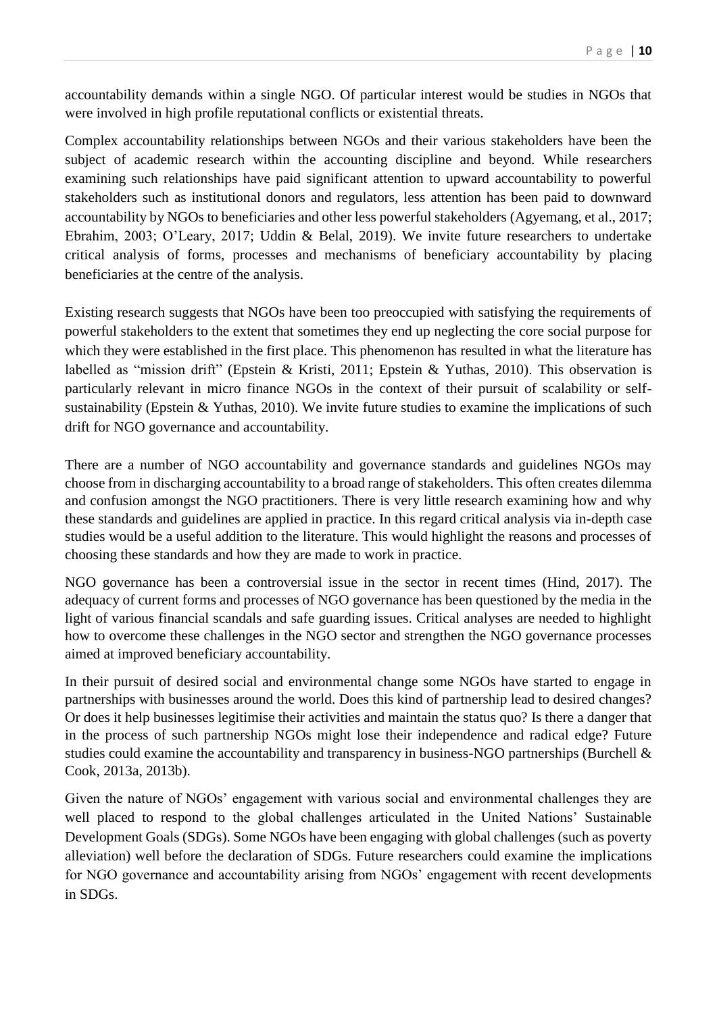accountability demands within a single NGO. Of particular interest would be studies in NGOs that were involved in high profile reputational conflicts or existential threats.

Complex accountability relationships between NGOs and their various stakeholders have been the subject of academic research within the accounting discipline and beyond. While researchers examining such relationships have paid significant attention to upward accountability to powerful stakeholders such as institutional donors and regulators, less attention has been paid to downward accountability by NGOs to beneficiaries and other less powerful stakeholders (Agyemang, et al., 2017; Ebrahim, 2003; O'Leary, 2017; Uddin & Belal, 2019). We invite future researchers to undertake critical analysis of forms, processes and mechanisms of beneficiary accountability by placing beneficiaries at the centre of the analysis.

Existing research suggests that NGOs have been too preoccupied with satisfying the requirements of powerful stakeholders to the extent that sometimes they end up neglecting the core social purpose for which they were established in the first place. This phenomenon has resulted in what the literature has labelled as "mission drift" (Epstein & Kristi, 2011; Epstein & Yuthas, 2010). This observation is particularly relevant in micro finance NGOs in the context of their pursuit of scalability or selfsustainability (Epstein & Yuthas, 2010). We invite future studies to examine the implications of such drift for NGO governance and accountability.

There are a number of NGO accountability and governance standards and guidelines NGOs may choose from in discharging accountability to a broad range of stakeholders. This often creates dilemma and confusion amongst the NGO practitioners. There is very little research examining how and why these standards and guidelines are applied in practice. In this regard critical analysis via in-depth case studies would be a useful addition to the literature. This would highlight the reasons and processes of choosing these standards and how they are made to work in practice.

NGO governance has been a controversial issue in the sector in recent times (Hind, 2017). The adequacy of current forms and processes of NGO governance has been questioned by the media in the light of various financial scandals and safe guarding issues. Critical analyses are needed to highlight how to overcome these challenges in the NGO sector and strengthen the NGO governance processes aimed at improved beneficiary accountability.

In their pursuit of desired social and environmental change some NGOs have started to engage in partnerships with businesses around the world. Does this kind of partnership lead to desired changes? Or does it help businesses legitimise their activities and maintain the status quo? Is there a danger that in the process of such partnership NGOs might lose their independence and radical edge? Future studies could examine the accountability and transparency in business-NGO partnerships (Burchell & Cook, 2013a, 2013b).

Given the nature of NGOs' engagement with various social and environmental challenges they are well placed to respond to the global challenges articulated in the United Nations' Sustainable Development Goals (SDGs). Some NGOs have been engaging with global challenges (such as poverty alleviation) well before the declaration of SDGs. Future researchers could examine the implications for NGO governance and accountability arising from NGOs' engagement with recent developments in SDGs.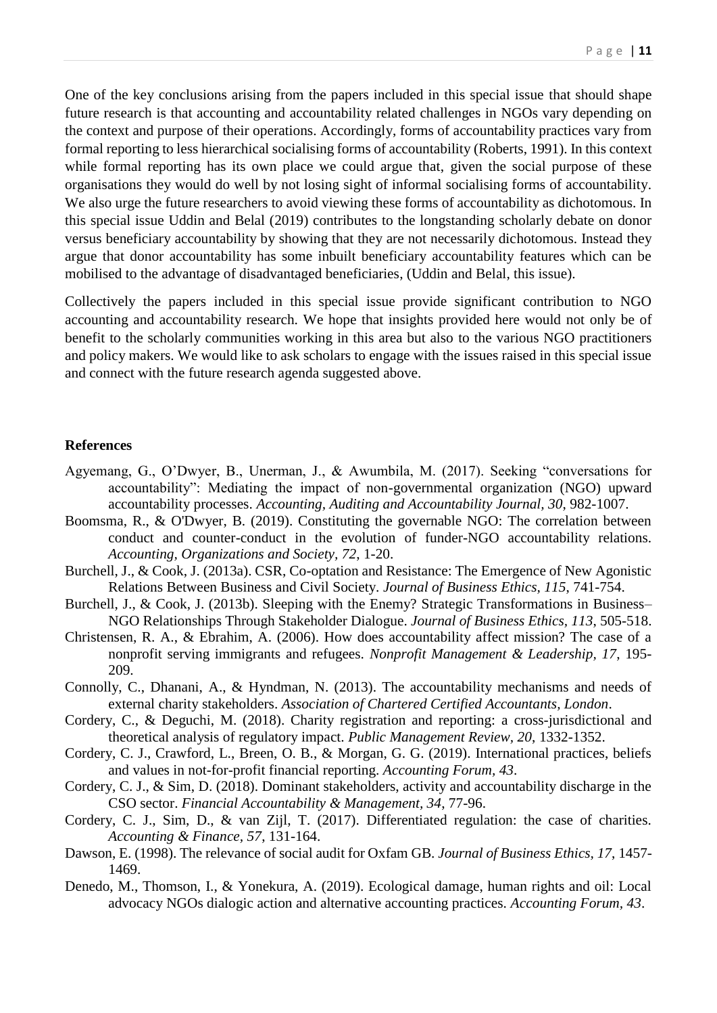One of the key conclusions arising from the papers included in this special issue that should shape future research is that accounting and accountability related challenges in NGOs vary depending on the context and purpose of their operations. Accordingly, forms of accountability practices vary from formal reporting to less hierarchical socialising forms of accountability (Roberts, 1991). In this context while formal reporting has its own place we could argue that, given the social purpose of these organisations they would do well by not losing sight of informal socialising forms of accountability. We also urge the future researchers to avoid viewing these forms of accountability as dichotomous. In this special issue Uddin and Belal (2019) contributes to the longstanding scholarly debate on donor versus beneficiary accountability by showing that they are not necessarily dichotomous. Instead they argue that donor accountability has some inbuilt beneficiary accountability features which can be mobilised to the advantage of disadvantaged beneficiaries, (Uddin and Belal, this issue).

Collectively the papers included in this special issue provide significant contribution to NGO accounting and accountability research. We hope that insights provided here would not only be of benefit to the scholarly communities working in this area but also to the various NGO practitioners and policy makers. We would like to ask scholars to engage with the issues raised in this special issue and connect with the future research agenda suggested above.

#### **References**

- Agyemang, G., O'Dwyer, B., Unerman, J., & Awumbila, M. (2017). Seeking "conversations for accountability": Mediating the impact of non-governmental organization (NGO) upward accountability processes. *Accounting, Auditing and Accountability Journal, 30*, 982-1007.
- Boomsma, R., & O'Dwyer, B. (2019). Constituting the governable NGO: The correlation between conduct and counter-conduct in the evolution of funder-NGO accountability relations. *Accounting, Organizations and Society, 72*, 1-20.
- Burchell, J., & Cook, J. (2013a). CSR, Co-optation and Resistance: The Emergence of New Agonistic Relations Between Business and Civil Society. *Journal of Business Ethics, 115*, 741-754.
- Burchell, J., & Cook, J. (2013b). Sleeping with the Enemy? Strategic Transformations in Business– NGO Relationships Through Stakeholder Dialogue. *Journal of Business Ethics, 113*, 505-518.
- Christensen, R. A., & Ebrahim, A. (2006). How does accountability affect mission? The case of a nonprofit serving immigrants and refugees. *Nonprofit Management & Leadership, 17*, 195- 209.
- Connolly, C., Dhanani, A., & Hyndman, N. (2013). The accountability mechanisms and needs of external charity stakeholders. *Association of Chartered Certified Accountants, London*.
- Cordery, C., & Deguchi, M. (2018). Charity registration and reporting: a cross-jurisdictional and theoretical analysis of regulatory impact. *Public Management Review, 20*, 1332-1352.
- Cordery, C. J., Crawford, L., Breen, O. B., & Morgan, G. G. (2019). International practices, beliefs and values in not-for-profit financial reporting. *Accounting Forum, 43*.
- Cordery, C. J., & Sim, D. (2018). Dominant stakeholders, activity and accountability discharge in the CSO sector. *Financial Accountability & Management, 34*, 77-96.
- Cordery, C. J., Sim, D., & van Zijl, T. (2017). Differentiated regulation: the case of charities. *Accounting & Finance, 57*, 131-164.
- Dawson, E. (1998). The relevance of social audit for Oxfam GB. *Journal of Business Ethics, 17*, 1457- 1469.
- Denedo, M., Thomson, I., & Yonekura, A. (2019). Ecological damage, human rights and oil: Local advocacy NGOs dialogic action and alternative accounting practices. *Accounting Forum, 43*.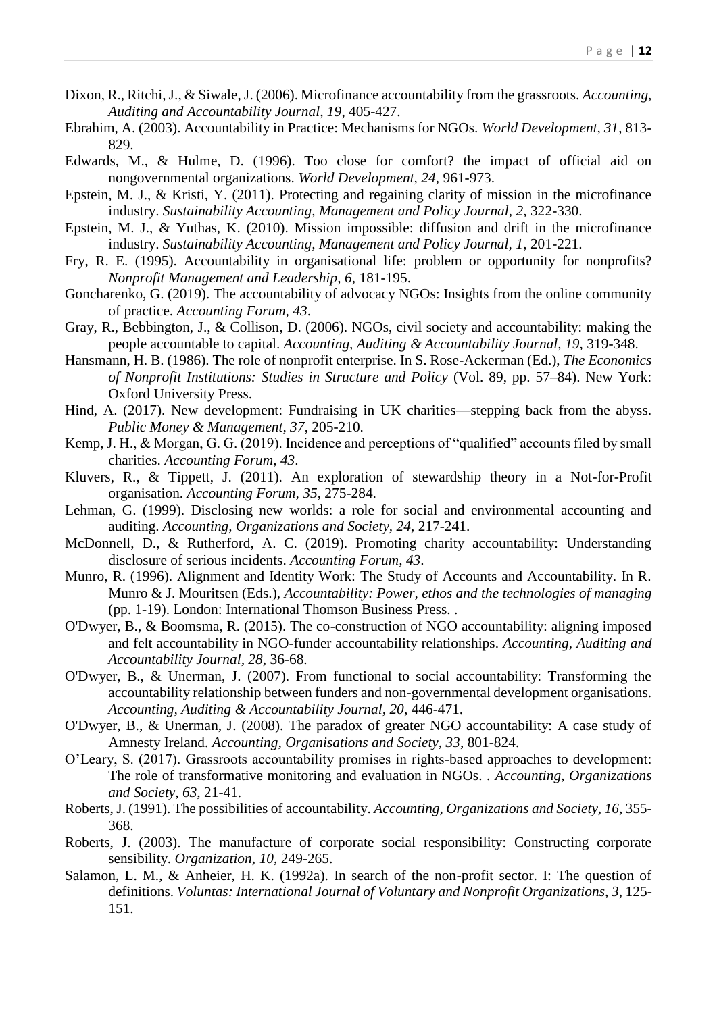- Dixon, R., Ritchi, J., & Siwale, J. (2006). Microfinance accountability from the grassroots. *Accounting, Auditing and Accountability Journal, 19*, 405-427.
- Ebrahim, A. (2003). Accountability in Practice: Mechanisms for NGOs. *World Development, 31*, 813- 829.
- Edwards, M., & Hulme, D. (1996). Too close for comfort? the impact of official aid on nongovernmental organizations. *World Development, 24*, 961-973.
- Epstein, M. J., & Kristi, Y. (2011). Protecting and regaining clarity of mission in the microfinance industry. *Sustainability Accounting, Management and Policy Journal, 2*, 322-330.
- Epstein, M. J., & Yuthas, K. (2010). Mission impossible: diffusion and drift in the microfinance industry. *Sustainability Accounting, Management and Policy Journal, 1*, 201-221.
- Fry, R. E. (1995). Accountability in organisational life: problem or opportunity for nonprofits? *Nonprofit Management and Leadership, 6*, 181-195.
- Goncharenko, G. (2019). The accountability of advocacy NGOs: Insights from the online community of practice. *Accounting Forum, 43*.
- Gray, R., Bebbington, J., & Collison, D. (2006). NGOs, civil society and accountability: making the people accountable to capital. *Accounting, Auditing & Accountability Journal, 19*, 319-348.
- Hansmann, H. B. (1986). The role of nonprofit enterprise. In S. Rose-Ackerman (Ed.), *The Economics of Nonprofit Institutions: Studies in Structure and Policy* (Vol. 89, pp. 57–84). New York: Oxford University Press.
- Hind, A. (2017). New development: Fundraising in UK charities—stepping back from the abyss. *Public Money & Management, 37*, 205-210.
- Kemp, J. H., & Morgan, G. G. (2019). Incidence and perceptions of "qualified" accounts filed by small charities. *Accounting Forum, 43*.
- Kluvers, R., & Tippett, J. (2011). An exploration of stewardship theory in a Not-for-Profit organisation. *Accounting Forum, 35*, 275-284.
- Lehman, G. (1999). Disclosing new worlds: a role for social and environmental accounting and auditing. *Accounting, Organizations and Society, 24*, 217-241.
- McDonnell, D., & Rutherford, A. C. (2019). Promoting charity accountability: Understanding disclosure of serious incidents. *Accounting Forum, 43*.
- Munro, R. (1996). Alignment and Identity Work: The Study of Accounts and Accountability. In R. Munro & J. Mouritsen (Eds.), *Accountability: Power, ethos and the technologies of managing* (pp. 1-19). London: International Thomson Business Press. .
- O'Dwyer, B., & Boomsma, R. (2015). The co-construction of NGO accountability: aligning imposed and felt accountability in NGO-funder accountability relationships. *Accounting, Auditing and Accountability Journal, 28*, 36-68.
- O'Dwyer, B., & Unerman, J. (2007). From functional to social accountability: Transforming the accountability relationship between funders and non-governmental development organisations. *Accounting, Auditing & Accountability Journal, 20*, 446-471.
- O'Dwyer, B., & Unerman, J. (2008). The paradox of greater NGO accountability: A case study of Amnesty Ireland. *Accounting, Organisations and Society, 33*, 801-824.
- O'Leary, S. (2017). Grassroots accountability promises in rights-based approaches to development: The role of transformative monitoring and evaluation in NGOs. . *Accounting, Organizations and Society, 63*, 21-41.
- Roberts, J. (1991). The possibilities of accountability. *Accounting, Organizations and Society, 16*, 355- 368.
- Roberts, J. (2003). The manufacture of corporate social responsibility: Constructing corporate sensibility. *Organization, 10*, 249-265.
- Salamon, L. M., & Anheier, H. K. (1992a). In search of the non-profit sector. I: The question of definitions. *Voluntas: International Journal of Voluntary and Nonprofit Organizations, 3*, 125- 151.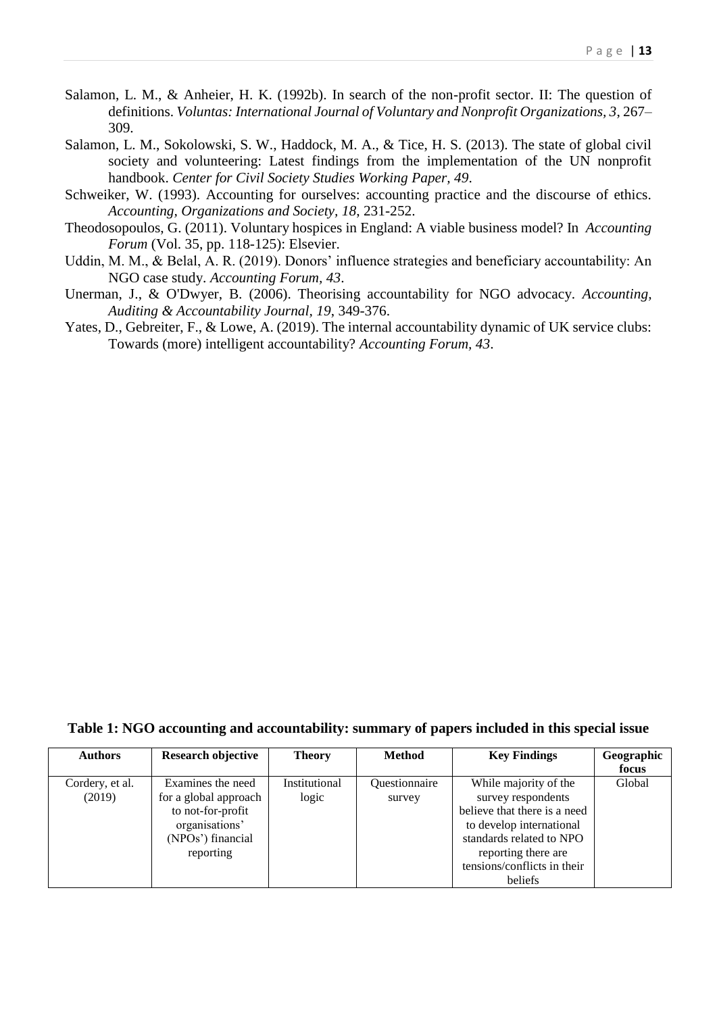- Salamon, L. M., & Anheier, H. K. (1992b). In search of the non-profit sector. II: The question of definitions. *Voluntas: International Journal of Voluntary and Nonprofit Organizations, 3*, 267– 309.
- Salamon, L. M., Sokolowski, S. W., Haddock, M. A., & Tice, H. S. (2013). The state of global civil society and volunteering: Latest findings from the implementation of the UN nonprofit handbook. *Center for Civil Society Studies Working Paper, 49*.
- Schweiker, W. (1993). Accounting for ourselves: accounting practice and the discourse of ethics. *Accounting, Organizations and Society, 18*, 231-252.
- Theodosopoulos, G. (2011). Voluntary hospices in England: A viable business model? In *Accounting Forum* (Vol. 35, pp. 118-125): Elsevier.
- Uddin, M. M., & Belal, A. R. (2019). Donors' influence strategies and beneficiary accountability: An NGO case study. *Accounting Forum, 43*.
- Unerman, J., & O'Dwyer, B. (2006). Theorising accountability for NGO advocacy. *Accounting, Auditing & Accountability Journal, 19*, 349-376.
- Yates, D., Gebreiter, F., & Lowe, A. (2019). The internal accountability dynamic of UK service clubs: Towards (more) intelligent accountability? *Accounting Forum, 43*.

**Table 1: NGO accounting and accountability: summary of papers included in this special issue**

| <b>Authors</b>  | <b>Research objective</b> | <b>Theory</b> | <b>Method</b> | <b>Key Findings</b>          | Geographic |
|-----------------|---------------------------|---------------|---------------|------------------------------|------------|
|                 |                           |               |               |                              | focus      |
| Cordery, et al. | Examines the need         | Institutional | Questionnaire | While majority of the        | Global     |
| (2019)          | for a global approach     | logic         | survey        | survey respondents           |            |
|                 | to not-for-profit         |               |               | believe that there is a need |            |
|                 | organisations'            |               |               | to develop international     |            |
|                 | (NPOs') financial         |               |               | standards related to NPO     |            |
|                 | reporting                 |               |               | reporting there are          |            |
|                 |                           |               |               | tensions/conflicts in their  |            |
|                 |                           |               |               | beliefs                      |            |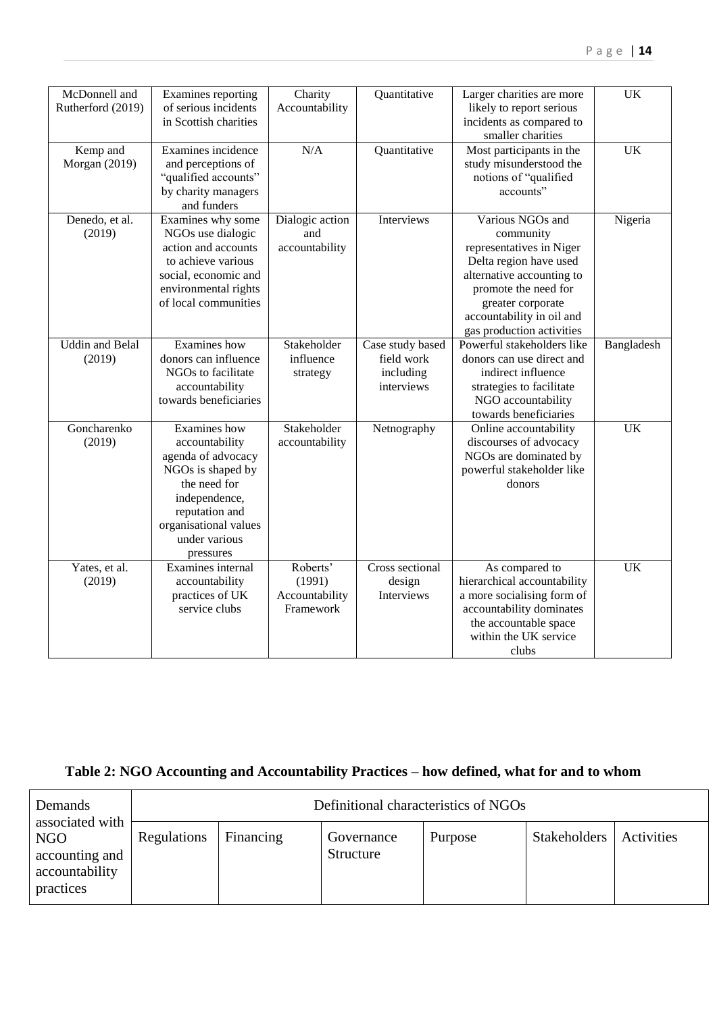| McDonnell and          | Examines reporting    | Charity         | Quantitative     | Larger charities are more   | UK              |
|------------------------|-----------------------|-----------------|------------------|-----------------------------|-----------------|
| Rutherford (2019)      | of serious incidents  | Accountability  |                  | likely to report serious    |                 |
|                        | in Scottish charities |                 |                  | incidents as compared to    |                 |
|                        |                       |                 |                  | smaller charities           |                 |
| Kemp and               | Examines incidence    | N/A             | Quantitative     | Most participants in the    | <b>UK</b>       |
| Morgan (2019)          | and perceptions of    |                 |                  | study misunderstood the     |                 |
|                        | "qualified accounts"  |                 |                  | notions of "qualified       |                 |
|                        | by charity managers   |                 |                  | accounts"                   |                 |
|                        | and funders           |                 |                  |                             |                 |
| Denedo, et al.         | Examines why some     | Dialogic action | Interviews       | Various NGOs and            | Nigeria         |
| (2019)                 | NGOs use dialogic     | and             |                  | community                   |                 |
|                        | action and accounts   | accountability  |                  | representatives in Niger    |                 |
|                        | to achieve various    |                 |                  | Delta region have used      |                 |
|                        | social, economic and  |                 |                  | alternative accounting to   |                 |
|                        | environmental rights  |                 |                  | promote the need for        |                 |
|                        | of local communities  |                 |                  | greater corporate           |                 |
|                        |                       |                 |                  | accountability in oil and   |                 |
|                        |                       |                 |                  | gas production activities   |                 |
| <b>Uddin</b> and Belal | Examines how          | Stakeholder     |                  | Powerful stakeholders like  |                 |
|                        |                       |                 | Case study based |                             | Bangladesh      |
| (2019)                 | donors can influence  | influence       | field work       | donors can use direct and   |                 |
|                        | NGOs to facilitate    | strategy        | including        | indirect influence          |                 |
|                        | accountability        |                 | interviews       | strategies to facilitate    |                 |
|                        | towards beneficiaries |                 |                  | NGO accountability          |                 |
|                        |                       |                 |                  | towards beneficiaries       |                 |
| Goncharenko            | <b>Examines</b> how   | Stakeholder     | Netnography      | Online accountability       | <b>UK</b>       |
| (2019)                 | accountability        | accountability  |                  | discourses of advocacy      |                 |
|                        | agenda of advocacy    |                 |                  | NGOs are dominated by       |                 |
|                        | NGOs is shaped by     |                 |                  | powerful stakeholder like   |                 |
|                        | the need for          |                 |                  | donors                      |                 |
|                        | independence,         |                 |                  |                             |                 |
|                        | reputation and        |                 |                  |                             |                 |
|                        | organisational values |                 |                  |                             |                 |
|                        | under various         |                 |                  |                             |                 |
|                        | pressures             |                 |                  |                             |                 |
| Yates, et al.          | Examines internal     | Roberts'        | Cross sectional  | As compared to              | $\overline{UK}$ |
| (2019)                 | accountability        | (1991)          | design           | hierarchical accountability |                 |
|                        | practices of UK       | Accountability  | Interviews       | a more socialising form of  |                 |
|                        | service clubs         | Framework       |                  | accountability dominates    |                 |
|                        |                       |                 |                  | the accountable space       |                 |
|                        |                       |                 |                  | within the UK service       |                 |
|                        |                       |                 |                  | clubs                       |                 |
|                        |                       |                 |                  |                             |                 |

# **Table 2: NGO Accounting and Accountability Practices – how defined, what for and to whom**

| Demands<br>associated with | Definitional characteristics of NGOs |           |            |         |              |            |
|----------------------------|--------------------------------------|-----------|------------|---------|--------------|------------|
| NGO                        | Regulations                          | Financing | Governance | Purpose | Stakeholders | Activities |
| accounting and             |                                      |           | Structure  |         |              |            |
| accountability             |                                      |           |            |         |              |            |
| practices                  |                                      |           |            |         |              |            |